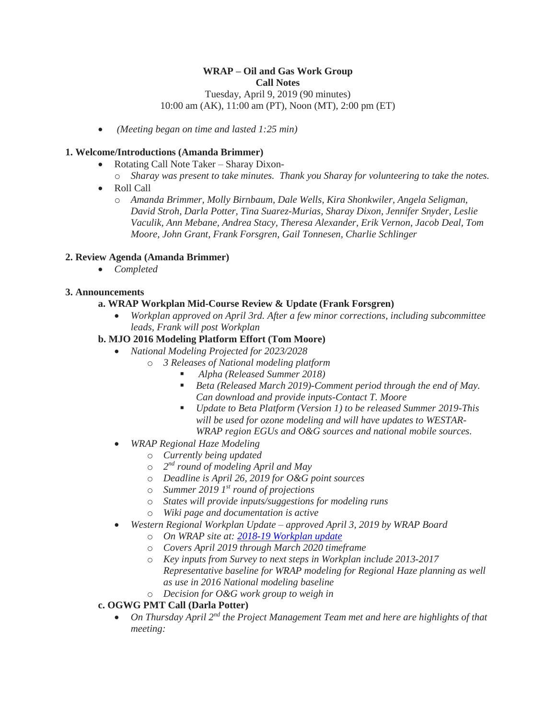# **WRAP – Oil and Gas Work Group Call Notes**

Tuesday, April 9, 2019 (90 minutes) 10:00 am (AK), 11:00 am (PT), Noon (MT), 2:00 pm (ET)

*(Meeting began on time and lasted 1:25 min)*

## **1. Welcome/Introductions (Amanda Brimmer)**

- Rotating Call Note Taker Sharay Dixon-
- o *Sharay was present to take minutes. Thank you Sharay for volunteering to take the notes.*
- Roll Call
	- o *Amanda Brimmer, Molly Birnbaum, Dale Wells, Kira Shonkwiler, Angela Seligman, David Stroh, Darla Potter, Tina Suarez-Murias, Sharay Dixon, Jennifer Snyder, Leslie Vaculik, Ann Mebane, Andrea Stacy, Theresa Alexander, Erik Vernon, Jacob Deal, Tom Moore, John Grant, Frank Forsgren, Gail Tonnesen, Charlie Schlinger*

## **2. Review Agenda (Amanda Brimmer)**

*Completed*

## **3. Announcements**

# **a. WRAP Workplan Mid-Course Review & Update (Frank Forsgren)**

 *Workplan approved on April 3rd. After a few minor corrections, including subcommittee leads, Frank will post Workplan*

#### **b. MJO 2016 Modeling Platform Effort (Tom Moore)**

- *National Modeling Projected for 2023/2028*
	- o *3 Releases of National modeling platform*
		- *Alpha (Released Summer 2018)*
		- *Beta (Released March 2019)-Comment period through the end of May. Can download and provide inputs-Contact T. Moore*
		- *Update to Beta Platform (Version 1) to be released Summer 2019-This will be used for ozone modeling and will have updates to WESTAR-WRAP region EGUs and O&G sources and national mobile sources.*
- *WRAP Regional Haze Modeling*
	- o *Currently being updated*
	- o *2 nd round of modeling April and May*
	- o *Deadline is April 26, 2019 for O&G point sources*
	- o *Summer 2019 1st round of projections*
	- o *States will provide inputs/suggestions for modeling runs*
	- o *Wiki page and documentation is active*
- *Western Regional Workplan Update – approved April 3, 2019 by WRAP Board*
	- o *On WRAP site at: [2018-19 Workplan update](https://www.wrapair2.org/pdf/2018-2019%20WRAP%20Workplan%20update%20Board%20Approved%20April.3.2019.pdf)*
	- o *Covers April 2019 through March 2020 timeframe*
	- o *Key inputs from Survey to next steps in Workplan include 2013-2017 Representative baseline for WRAP modeling for Regional Haze planning as well as use in 2016 National modeling baseline*
	- o *Decision for O&G work group to weigh in*

# **c. OGWG PMT Call (Darla Potter)**

 *On Thursday April 2nd the Project Management Team met and here are highlights of that meeting:*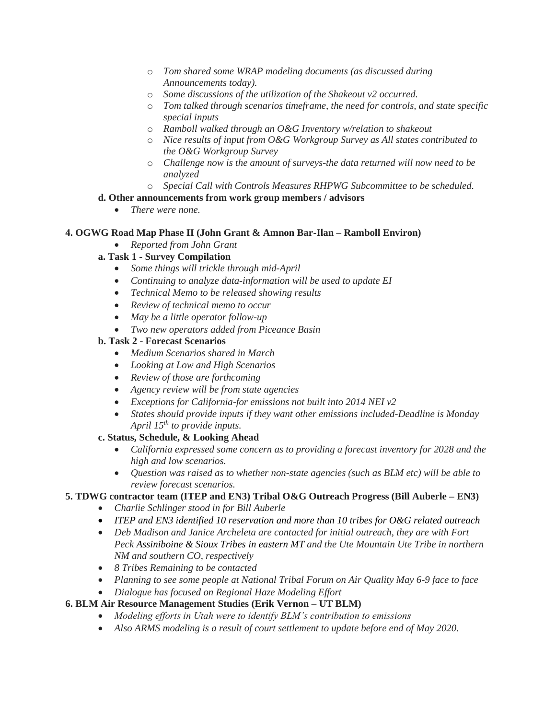- o *Tom shared some WRAP modeling documents (as discussed during Announcements today).*
- o *Some discussions of the utilization of the Shakeout v2 occurred.*
- o *Tom talked through scenarios timeframe, the need for controls, and state specific special inputs*
- o *Ramboll walked through an O&G Inventory w/relation to shakeout*
- o *Nice results of input from O&G Workgroup Survey as All states contributed to the O&G Workgroup Survey*
- o *Challenge now is the amount of surveys-the data returned will now need to be analyzed*
- o *Special Call with Controls Measures RHPWG Subcommittee to be scheduled.*

#### **d. Other announcements from work group members / advisors**

*There were none.*

#### **4. OGWG Road Map Phase II (John Grant & Amnon Bar-Ilan – Ramboll Environ)**

*Reported from John Grant*

#### **a. Task 1 - Survey Compilation**

- *Some things will trickle through mid-April*
- *Continuing to analyze data-information will be used to update EI*
- *Technical Memo to be released showing results*
- *Review of technical memo to occur*
- *May be a little operator follow-up*
- *Two new operators added from Piceance Basin*

#### **b. Task 2 - Forecast Scenarios**

- *Medium Scenarios shared in March*
- *Looking at Low and High Scenarios*
- *Review of those are forthcoming*
- *Agency review will be from state agencies*
- *Exceptions for California-for emissions not built into 2014 NEI v2*
- *States should provide inputs if they want other emissions included-Deadline is Monday April 15th to provide inputs.*

#### **c. Status, Schedule, & Looking Ahead**

- *California expressed some concern as to providing a forecast inventory for 2028 and the high and low scenarios.*
- *Question was raised as to whether non-state agencies (such as BLM etc) will be able to review forecast scenarios.*

#### **5. TDWG contractor team (ITEP and EN3) Tribal O&G Outreach Progress (Bill Auberle – EN3)**

- *Charlie Schlinger stood in for Bill Auberle*
- *ITEP and EN3 identified 10 reservation and more than 10 tribes for O&G related outreach*
- Deb Madison and Janice Archeleta are contacted for *initial outreach, they are with Fort Peck Assiniboine & Sioux Tribes in eastern MT and the Ute Mountain Ute Tribe in northern NM and southern CO, respectively*
- *8 Tribes Remaining to be contacted*
- *Planning to see some people at National Tribal Forum on Air Quality May 6-9 face to face*
- *Dialogue has focused on Regional Haze Modeling Effort*

#### **6. BLM Air Resource Management Studies (Erik Vernon – UT BLM)**

- *Modeling efforts in Utah were to identify BLM's contribution to emissions*
- Also ARMS modeling is a result of court settlement to update before end of May 2020.